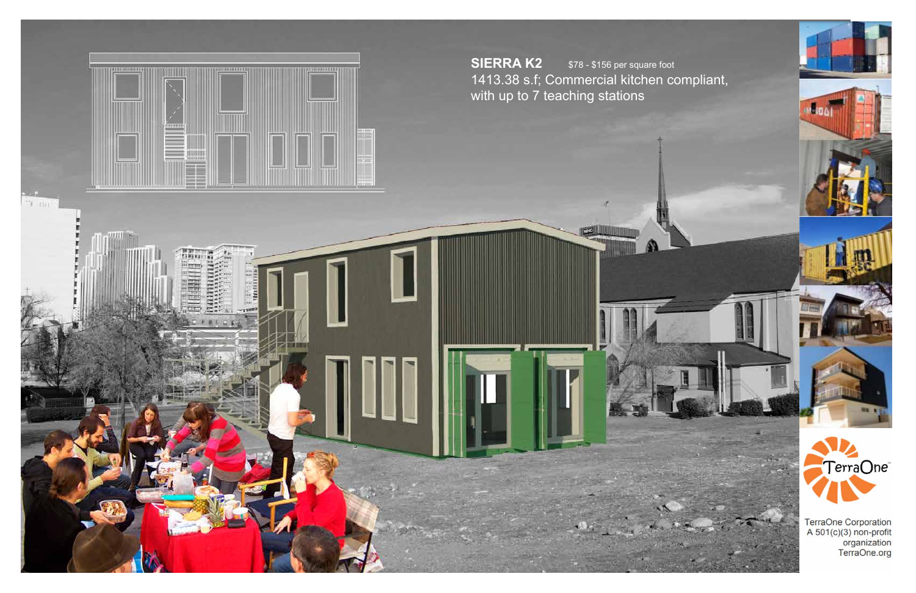



Maga1

TerraOne Corporation<br>A 501(c)(3) non-profit<br>organization<br>TerraOne.org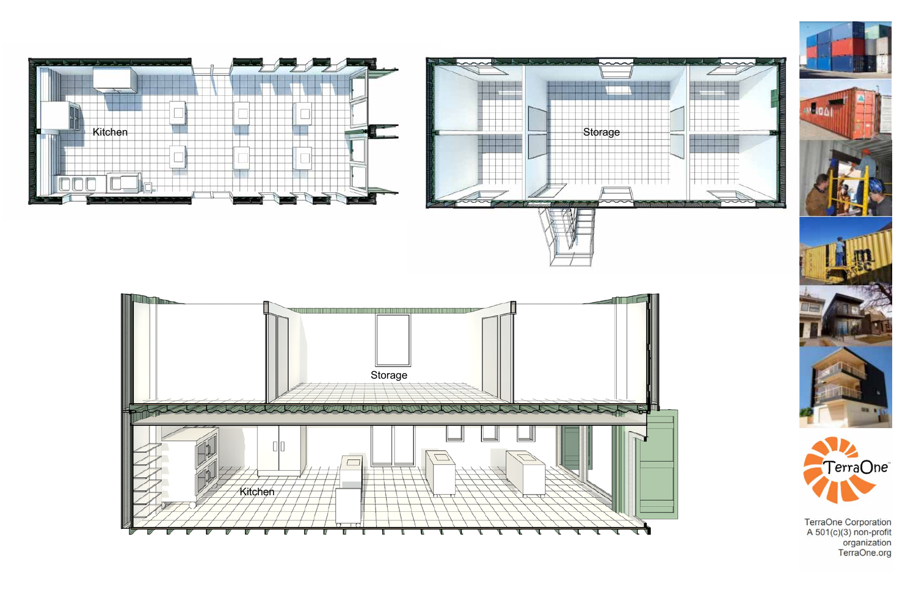











TerraOne Corporation<br>A 501(c)(3) non-profit<br>organization TerraOne.org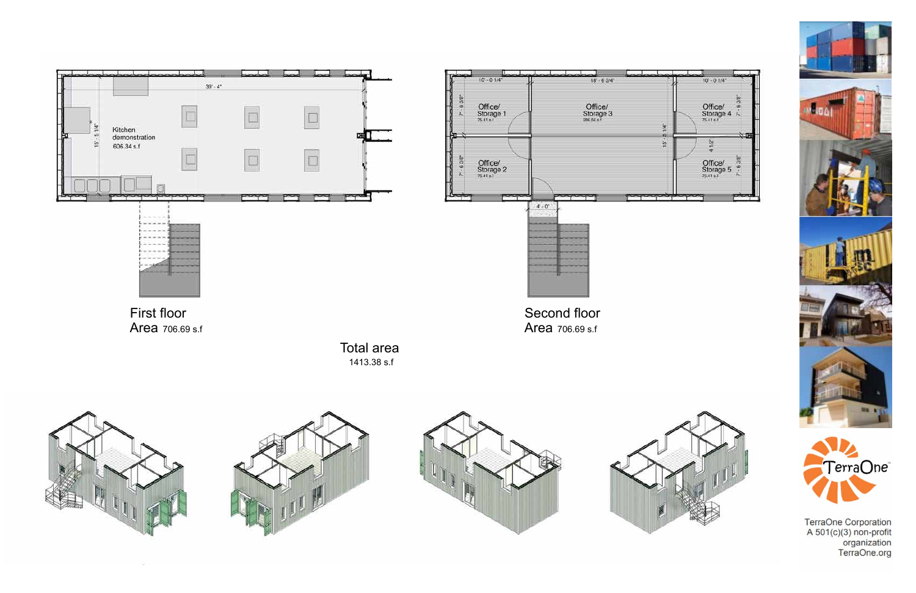







TerraOne Corporation<br>A 501(c)(3) non-profit<br>organization<br>TerraOne.org